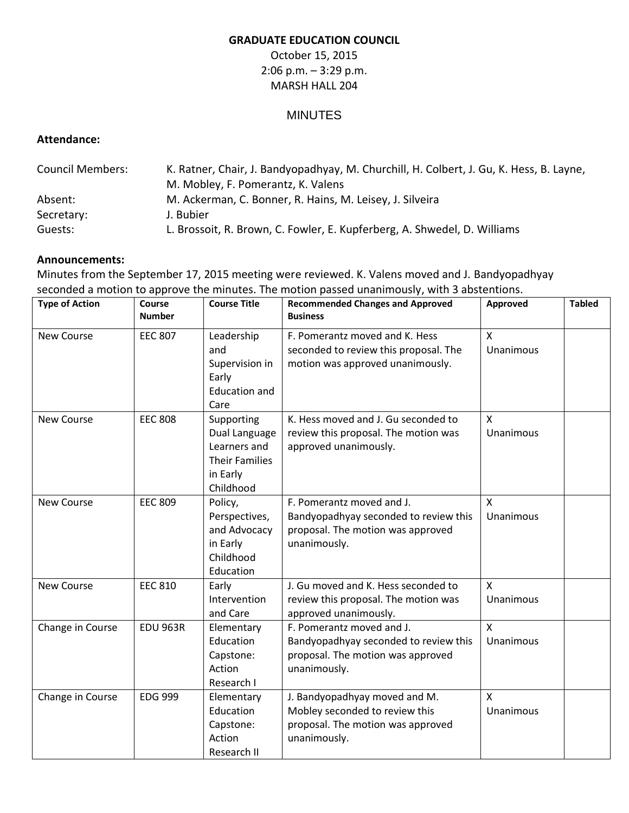## **GRADUATE EDUCATION COUNCIL**

October 15, 2015 2:06 p.m. – 3:29 p.m. MARSH HALL 204

## MINUTES

## **Attendance:**

| <b>Council Members:</b> | K. Ratner, Chair, J. Bandyopadhyay, M. Churchill, H. Colbert, J. Gu, K. Hess, B. Layne, |  |  |  |
|-------------------------|-----------------------------------------------------------------------------------------|--|--|--|
|                         | M. Mobley, F. Pomerantz, K. Valens                                                      |  |  |  |
| Absent:                 | M. Ackerman, C. Bonner, R. Hains, M. Leisey, J. Silveira                                |  |  |  |
| Secretary:              | J. Bubier                                                                               |  |  |  |
| Guests:                 | L. Brossoit, R. Brown, C. Fowler, E. Kupferberg, A. Shwedel, D. Williams                |  |  |  |

## **Announcements:**

Minutes from the September 17, 2015 meeting were reviewed. K. Valens moved and J. Bandyopadhyay seconded a motion to approve the minutes. The motion passed unanimously, with 3 abstentions.

| <b>Type of Action</b> | Course<br><b>Number</b> | <b>Course Title</b>                                                                           | <b>Recommended Changes and Approved</b><br><b>Business</b>                                                              | Approved                         | <b>Tabled</b> |
|-----------------------|-------------------------|-----------------------------------------------------------------------------------------------|-------------------------------------------------------------------------------------------------------------------------|----------------------------------|---------------|
| <b>New Course</b>     | <b>EEC 807</b>          | Leadership<br>and<br>Supervision in<br>Early<br><b>Education and</b><br>Care                  | F. Pomerantz moved and K. Hess<br>seconded to review this proposal. The<br>motion was approved unanimously.             | $\pmb{\mathsf{X}}$<br>Unanimous  |               |
| <b>New Course</b>     | <b>EEC 808</b>          | Supporting<br>Dual Language<br>Learners and<br><b>Their Families</b><br>in Early<br>Childhood | K. Hess moved and J. Gu seconded to<br>review this proposal. The motion was<br>approved unanimously.                    | $\mathsf{x}$<br>Unanimous        |               |
| <b>New Course</b>     | <b>EEC 809</b>          | Policy,<br>Perspectives,<br>and Advocacy<br>in Early<br>Childhood<br>Education                | F. Pomerantz moved and J.<br>Bandyopadhyay seconded to review this<br>proposal. The motion was approved<br>unanimously. | $\mathsf{x}$<br>Unanimous        |               |
| <b>New Course</b>     | <b>EEC 810</b>          | Early<br>Intervention<br>and Care                                                             | J. Gu moved and K. Hess seconded to<br>review this proposal. The motion was<br>approved unanimously.                    | $\mathsf{x}$<br>Unanimous        |               |
| Change in Course      | <b>EDU 963R</b>         | Elementary<br>Education<br>Capstone:<br>Action<br>Research I                                  | F. Pomerantz moved and J.<br>Bandyopadhyay seconded to review this<br>proposal. The motion was approved<br>unanimously. | X<br><b>Unanimous</b>            |               |
| Change in Course      | <b>EDG 999</b>          | Elementary<br>Education<br>Capstone:<br>Action<br>Research II                                 | J. Bandyopadhyay moved and M.<br>Mobley seconded to review this<br>proposal. The motion was approved<br>unanimously.    | $\mathsf{x}$<br><b>Unanimous</b> |               |